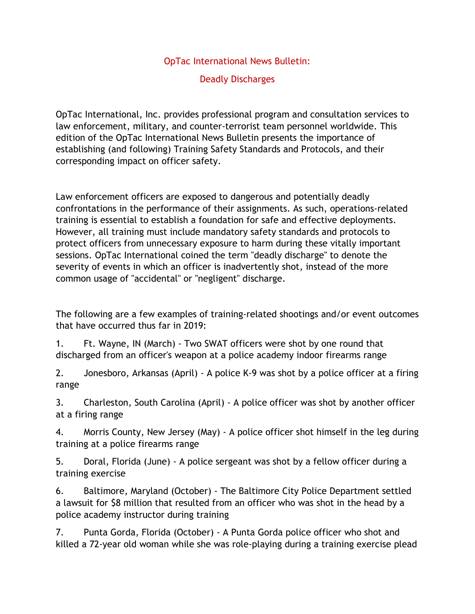## OpTac International News Bulletin:

## Deadly Discharges

OpTac International, Inc. provides professional program and consultation services to law enforcement, military, and counter-terrorist team personnel worldwide. This edition of the OpTac International News Bulletin presents the importance of establishing (and following) Training Safety Standards and Protocols, and their corresponding impact on officer safety.

Law enforcement officers are exposed to dangerous and potentially deadly confrontations in the performance of their assignments. As such, operations-related training is essential to establish a foundation for safe and effective deployments. However, all training must include mandatory safety standards and protocols to protect officers from unnecessary exposure to harm during these vitally important sessions. OpTac International coined the term "deadly discharge" to denote the severity of events in which an officer is inadvertently shot, instead of the more common usage of "accidental" or "negligent" discharge.

The following are a few examples of training-related shootings and/or event outcomes that have occurred thus far in 2019:

1. Ft. Wayne, IN (March) - Two SWAT officers were shot by one round that discharged from an officer's weapon at a police academy indoor firearms range

2. Jonesboro, Arkansas (April) - A police K-9 was shot by a police officer at a firing range

3. Charleston, South Carolina (April) - A police officer was shot by another officer at a firing range

4. Morris County, New Jersey (May) - A police officer shot himself in the leg during training at a police firearms range

5. Doral, Florida (June) - A police sergeant was shot by a fellow officer during a training exercise

6. Baltimore, Maryland (October) - The Baltimore City Police Department settled a lawsuit for \$8 million that resulted from an officer who was shot in the head by a police academy instructor during training

7. Punta Gorda, Florida (October) - A Punta Gorda police officer who shot and killed a 72-year old woman while she was role-playing during a training exercise plead